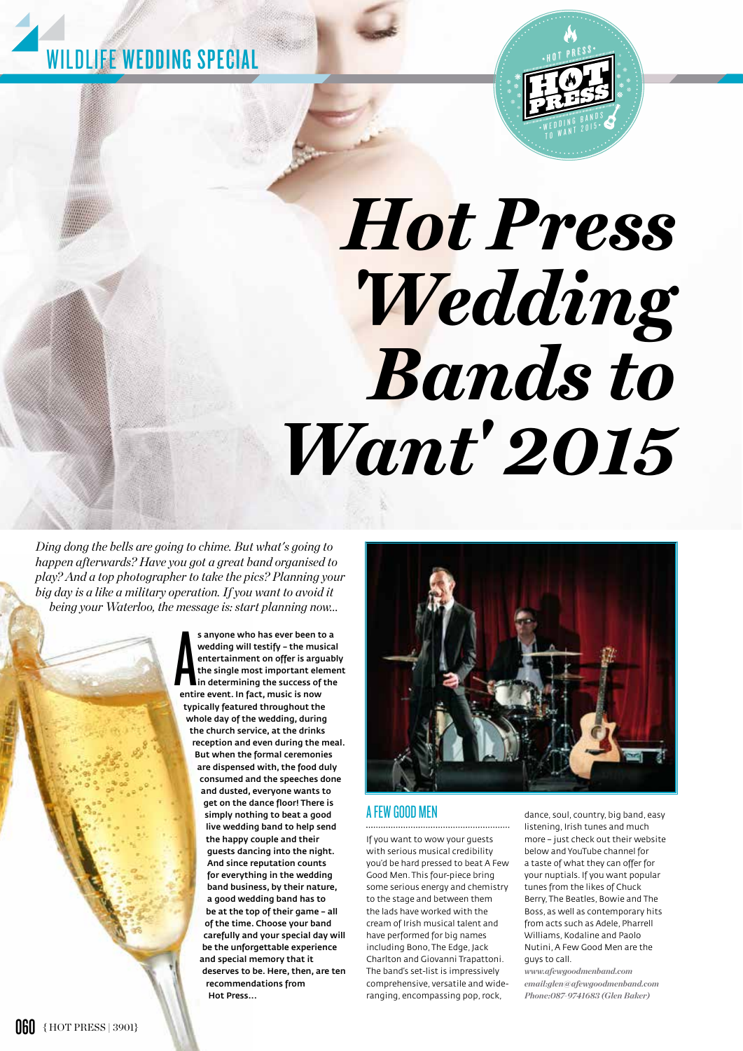



# *Hot Press 'Wedding Bands to Want' 2015*

*Ding dong the bells are going to chime. But what's going to happen afterwards? Have you got a great band organised to play? And a top photographer to take the pics? Planning your big day is a like a military operation. If you want to avoid it being your Waterloo, the message is: start planning now...* 

> s anyone who has ever been to<br>wedding will testify - the mus<br>entertainment on offer is argu<br>the single most important ele<br>in determining the success of<br>entire event. In fact, music is now s anyone who has ever been to a wedding will testify – the musical entertainment on offer is arguably the single most important element in determining the success of the typically featured throughout the whole day of the wedding, during the church service, at the drinks reception and even during the meal. But when the formal ceremonies are dispensed with, the food duly consumed and the speeches done and dusted, everyone wants to get on the dance floor! There is simply nothing to beat a good live wedding band to help send the happy couple and their guests dancing into the night. And since reputation counts for everything in the wedding band business, by their nature, a good wedding band has to be at the top of their game – all of the time. Choose your band carefully and your special day will be the unforgettable experience and special memory that it deserves to be. Here, then, are ten recommendations from Hot Press...



### A FEW GOOD MEN

If you want to wow your guests with serious musical credibility you'd be hard pressed to beat A Few Good Men. This four-piece bring some serious energy and chemistry to the stage and between them the lads have worked with the cream of Irish musical talent and have performed for big names including Bono, The Edge, Jack Charlton and Giovanni Trapattoni. The band's set-list is impressively comprehensive, versatile and wideranging, encompassing pop, rock,

dance, soul, country, big band, easy listening, Irish tunes and much more – just check out their website below and YouTube channel for a taste of what they can offer for your nuptials. If you want popular tunes from the likes of Chuck Berry, The Beatles, Bowie and The Boss, as well as contemporary hits from acts such as Adele, Pharrell Williams, Kodaline and Paolo Nutini, A Few Good Men are the guys to call.

*www.afewgoodmenband.com email:glen@afewgoodmenband.com Phone:087-9741683 (Glen Baker)*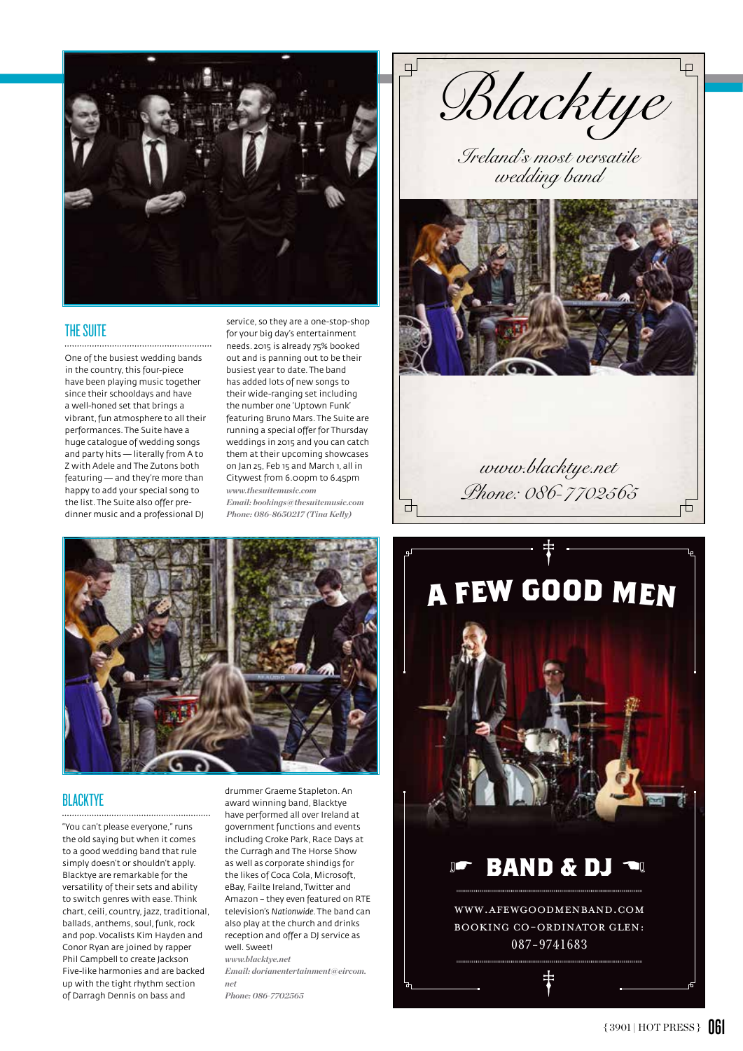

#### THE SUITE

One of the busiest wedding bands in the country, this four-piece have been playing music together since their schooldays and have a well-honed set that brings a vibrant, fun atmosphere to all their performances. The Suite have a huge catalogue of wedding songs and party hits — literally from A to Z with Adele and The Zutons both featuring — and they're more than happy to add your special song to the list. The Suite also offer predinner music and a professional DJ

service, so they are a one-stop-shop for your big day's entertainment needs. 2015 is already 75% booked out and is panning out to be their busiest year to date. The band has added lots of new songs to their wide-ranging set including the number one 'Uptown Funk' featuring Bruno Mars. The Suite are running a special offer for Thursday weddings in 2015 and you can catch them at their upcoming showcases on Jan 25, Feb 15 and March 1, all in Citywest from 6.00pm to 6.45pm *www.thesuitemusic.com Email: bookings@thesuitemusic.com Phone: 086-8650217 (Tina Kelly)*

₫



### **BLACKTYE**

"You can't please everyone," runs the old saying but when it comes to a good wedding band that rule simply doesn't or shouldn't apply. Blacktye are remarkable for the versatility of their sets and ability to switch genres with ease. Think chart, ceili, country, jazz, traditional, ballads, anthems, soul, funk, rock and pop. Vocalists Kim Hayden and Conor Ryan are joined by rapper Phil Campbell to create Jackson Five-like harmonies and are backed up with the tight rhythm section of Darragh Dennis on bass and

drummer Graeme Stapleton. An award winning band, Blacktye have performed all over Ireland at government functions and events including Croke Park, Race Days at the Curragh and The Horse Show as well as corporate shindigs for the likes of Coca Cola, Microsoft, eBay, Failte Ireland, Twitter and Amazon – they even featured on RTE television's *Nationwide*. The band can also play at the church and drinks reception and offer a DJ service as well. Sweet! *www.blacktye.net*

*Email: dorianentertainment@eircom. net*

*Phone: 086-7702565*

 $\Box$ *Blacktye*

> *Ireland's most versatile wedding band*



‡ *Phone: 086-7702565*

*www.blacktye.net* 



 ${3901}$  HOT PRESS } 061

ф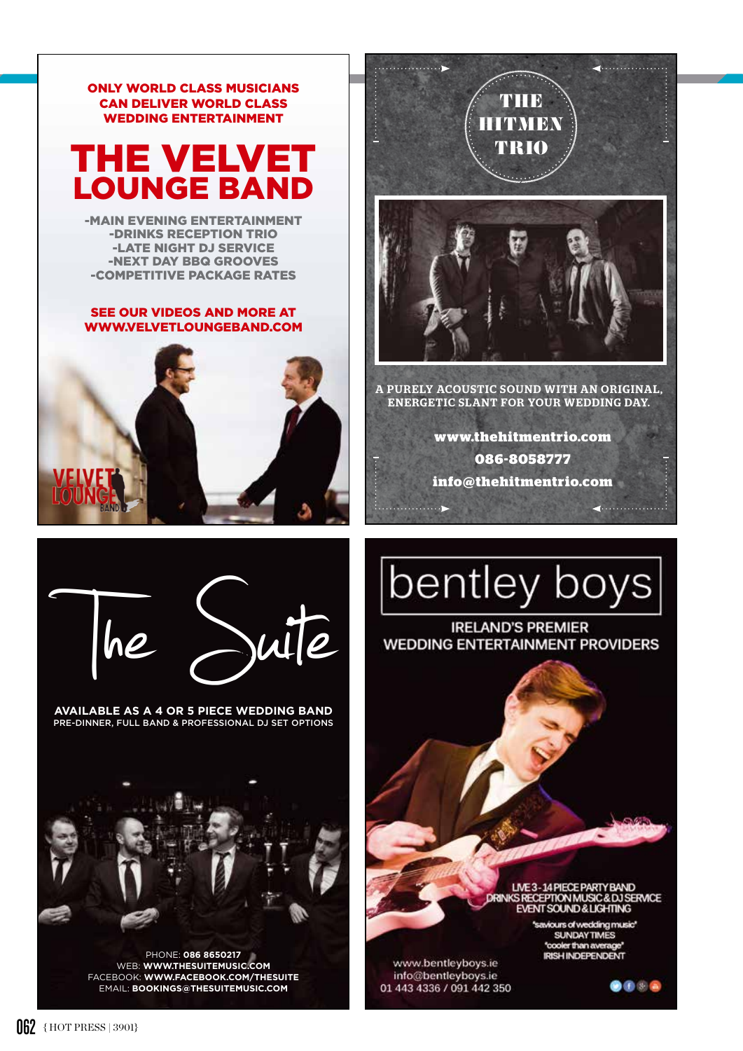

PHONE: **086 8650217**  WEB: **WWW.THESUITEMUSIC.COM** FACEBOOK: **WWW.FACEBOOK.COM/THESUITE** EMAIL: **BOOKINGS@THESUITEMUSIC.COM**



. . . . . . . . . . . . . . . . .

(. . . . . . . . . . . . . .

ENERGETIC SLANT FOR YOUR WEDDING DAY.

**www.thehitmentrio.com 086-8058777 info@thehitmentrio.com** 



**IRELAND'S PREMIER WEDDING ENTERTAINMENT PROVIDERS** 



saviours of wedding music" **SUNDAYTIMES** "cooler than average **IRISH INDEPENDENT** 

 $\bullet\bullet\bullet\bullet$ 

www.bentleyboys.ie info@bentleyboys.ie 01 443 4336 / 091 442 350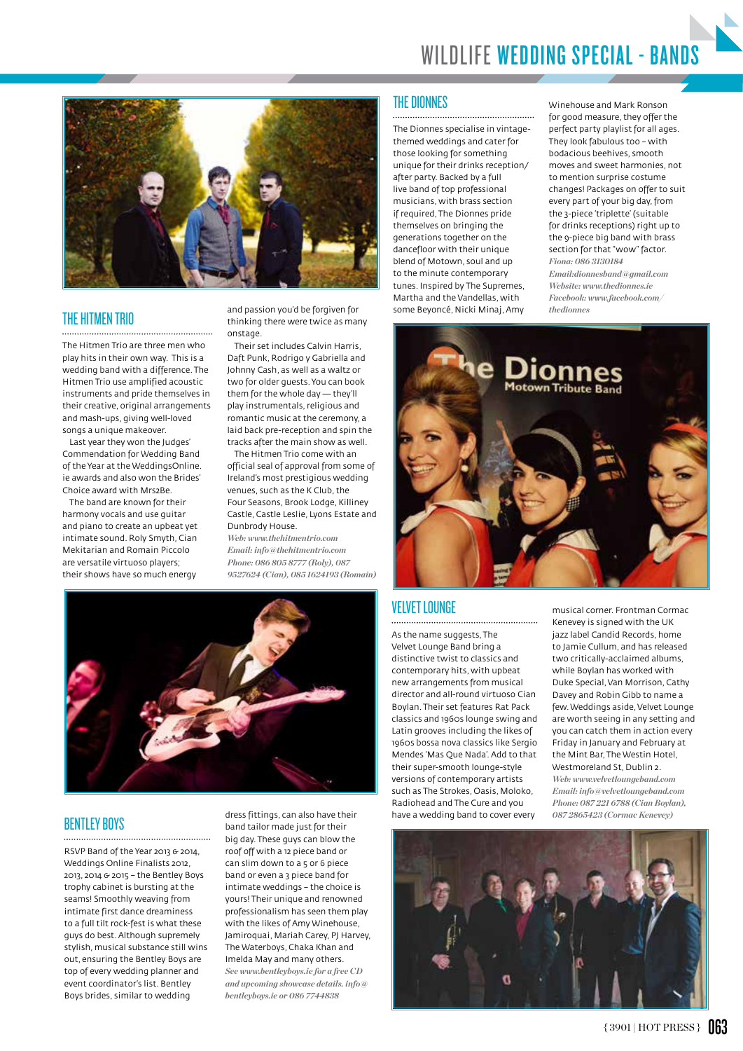

#### THE HITMEN TRIO

The Hitmen Trio are three men who play hits in their own way. This is a wedding band with a difference. The Hitmen Trio use amplified acoustic instruments and pride themselves in their creative, original arrangements and mash-ups, giving well-loved songs a unique makeover.

Last year they won the Judges' Commendation for Wedding Band of the Year at the WeddingsOnline. ie awards and also won the Brides' Choice award with Mrs2Be.

The band are known for their harmony vocals and use guitar and piano to create an upbeat yet intimate sound. Roly Smyth, Cian Mekitarian and Romain Piccolo are versatile virtuoso players; their shows have so much energy

and passion you'd be forgiven for thinking there were twice as many onstage.

Their set includes Calvin Harris, Daft Punk, Rodrigo y Gabriella and Johnny Cash, as well as a waltz or two for older guests. You can book them for the whole day — they'll play instrumentals, religious and romantic music at the ceremony, a laid back pre-reception and spin the tracks after the main show as well.

The Hitmen Trio come with an official seal of approval from some of Ireland's most prestigious wedding venues, such as the K Club, the Four Seasons, Brook Lodge, Killiney Castle, Castle Leslie, Lyons Estate and Dunbrody House.

*Web: www.thehitmentrio.com Email: info@thehitmentrio.com Phone: 086 805 8777 (Roly), 087 9527624 (Cian), 085 1624193 (Romain)*



#### **BENTLEY BOYS**

RSVP Band of the Year 2013 & 2014, Weddings Online Finalists 2012, 2013, 2014 & 2015 – the Bentley Boys trophy cabinet is bursting at the seams! Smoothly weaving from intimate first dance dreaminess to a full tilt rock-fest is what these guys do best. Although supremely stylish, musical substance still wins out, ensuring the Bentley Boys are top of every wedding planner and event coordinator's list. Bentley Boys brides, similar to wedding

dress fittings, can also have their band tailor made just for their big day. These guys can blow the roof off with a 12 piece band or can slim down to a 5 or 6 piece band or even a 3 piece band for intimate weddings – the choice is yours! Their unique and renowned professionalism has seen them play with the likes of Amy Winehouse, Jamiroquai, Mariah Carey, PJ Harvey, The Waterboys, Chaka Khan and Imelda May and many others. *See www.bentleyboys.ie for a free CD and upcoming showcase details. info@ bentleyboys.ie or 086 7744838* 

#### THE DIONNES

The Dionnes specialise in vintagethemed weddings and cater for those looking for something unique for their drinks reception/ after party. Backed by a full live band of top professional musicians, with brass section if required, The Dionnes pride themselves on bringing the generations together on the dancefloor with their unique blend of Motown, soul and up to the minute contemporary tunes. Inspired by The Supremes, Martha and the Vandellas, with some Beyoncé, Nicki Minaj, Amy

Winehouse and Mark Ronson for good measure, they offer the perfect party playlist for all ages. They look fabulous too – with bodacious beehives, smooth moves and sweet harmonies, not to mention surprise costume changes! Packages on offer to suit every part of your big day, from the 3-piece 'triplette' (suitable for drinks receptions) right up to the 9-piece big band with brass section for that "wow" factor. *Fiona: 086 3130184 Email:dionnesband@gmail.com Website: www.thedionnes.ie Facebook: www.facebook.com/ thedionnes*



#### VELVET LOUNGE

As the name suggests, The Velvet Lounge Band bring a distinctive twist to classics and contemporary hits, with upbeat new arrangements from musical director and all-round virtuoso Cian Boylan. Their set features Rat Pack classics and 1960s lounge swing and Latin grooves including the likes of 1960s bossa nova classics like Sergio Mendes 'Mas Que Nada'. Add to that their super-smooth lounge-style versions of contemporary artists such as The Strokes, Oasis, Moloko, Radiohead and The Cure and you have a wedding band to cover every

musical corner. Frontman Cormac Kenevey is signed with the UK jazz label Candid Records, home to Jamie Cullum, and has released two critically-acclaimed albums, while Boylan has worked with Duke Special, Van Morrison, Cathy Davey and Robin Gibb to name a few. Weddings aside, Velvet Lounge are worth seeing in any setting and you can catch them in action every Friday in January and February at the Mint Bar, The Westin Hotel, Westmoreland St, Dublin 2.

*Web: www.velvetloungeband.com Email: info@velvetloungeband.com Phone: 087 221 6788 (Cian Boylan), 087 2865423 (Cormac Kenevey)*

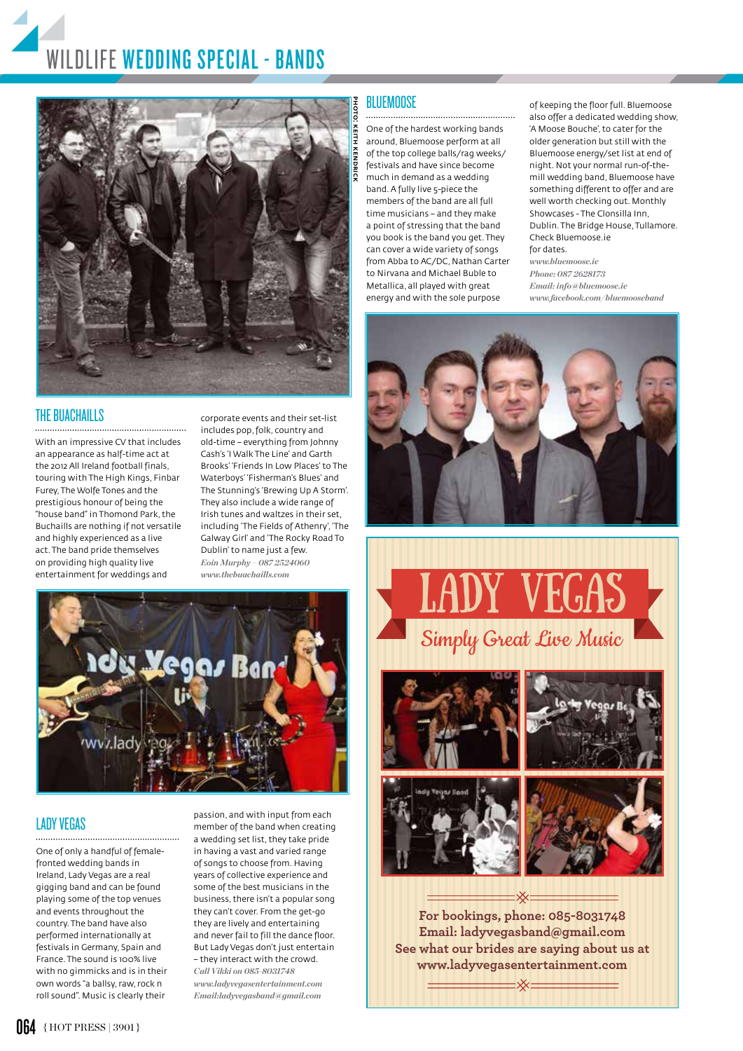## WILDLIFE WEDDING SPECIAL - BANDS



#### THE BUACHAILLS

With an impressive CV that includes an appearance as half-time act at the 2012 All Ireland football finals, touring with The High Kings, Finbar Furey, The Wolfe Tones and the prestigious honour of being the "house band" in Thomond Park, the Buchaills are nothing if not versatile and highly experienced as a live act. The band pride themselves on providing high quality live entertainment for weddings and

corporate events and their set-list includes pop, folk, country and old-time – everything from Johnny Cash's 'I Walk The Line' and Garth Brooks' 'Friends In Low Places' to The Waterboys' 'Fisherman's Blues' and The Stunning's 'Brewing Up A Storm'. They also include a wide range of Irish tunes and waltzes in their set, including 'The Fields of Athenry', 'The Galway Girl' and 'The Rocky Road To Dublin' to name just a few. *Eoin Murphy – 087 2524060 www.thebuachaills.com*



### LADY VEGAS

One of only a handful of femalefronted wedding bands in Ireland, Lady Vegas are a real gigging band and can be found playing some of the top venues and events throughout the country. The band have also performed internationally at festivals in Germany, Spain and France. The sound is 100% live with no gimmicks and is in their own words "a ballsy, raw, rock n roll sound". Music is clearly their

passion, and with input from each member of the band when creating a wedding set list, they take pride in having a vast and varied range of songs to choose from. Having years of collective experience and some of the best musicians in the business, there isn't a popular song they can't cover. From the get-go they are lively and entertaining and never fail to fill the dance floor. But Lady Vegas don't just entertain – they interact with the crowd. *Call Vikki on 085-8031748 www.ladyvegasentertainment.com Email:ladyvegasband@gmail.com*

#### **BLUEMOOSE**

One of the hardest working bands around, Bluemoose perform at all of the top college balls/rag weeks/ festivals and have since become much in demand as a wedding band. A fully live 5-piece the members of the band are all full time musicians – and they make a point of stressing that the band you book is the band you get. They can cover a wide variety of songs from Abba to AC/DC, Nathan Carter to Nirvana and Michael Buble to Metallica, all played with great energy and with the sole purpose

of keeping the floor full. Bluemoose also offer a dedicated wedding show, 'A Moose Bouche', to cater for the older generation but still with the Bluemoose energy/set list at end of night. Not your normal run-of-themill wedding band, Bluemoose have something different to offer and are well worth checking out. Monthly Showcases - The Clonsilla Inn, Dublin. The Bridge House, Tullamore. Check Bluemoose.ie for dates.

*www.bluemoose.ie Phone: 087 2628173 Email: info@bluemoose.ie www.facebook.com/bluemooseband*









**For bookings, phone: 085-8031748 Email: ladyvegasband@gmail.com See what our brides are saying about us at www.ladyvegasentertainment.com**

- Xx -